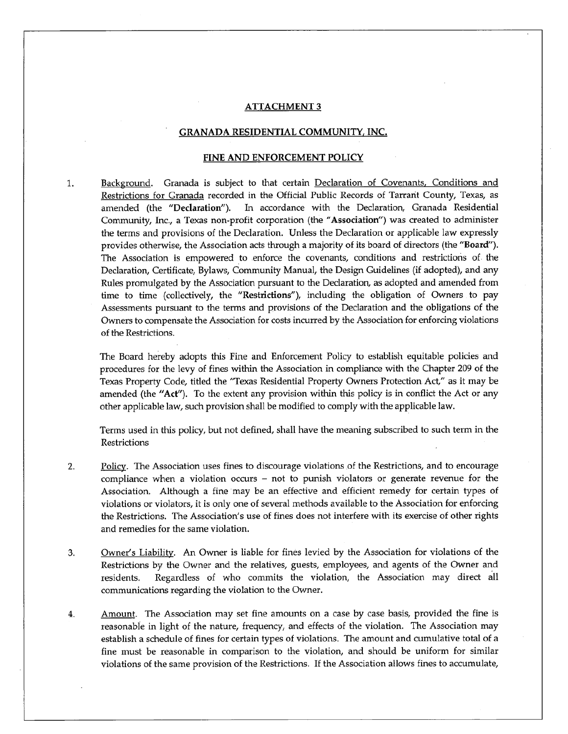# **ATTACHMENT 3**

# **GRANADA RESIDENTIAL COMMUNITY, INC.**

## **FINE AND ENFORCEMENT POLICY**

1. Background. Granada is subject to that certain Declaration of Covenants, Conditions and Restrictions for Granada recorded in the Official Public Records of Tarrant County, Texas, as amended **(the "Declaration"). In** accordance with the Declaration, Granada Residential Community, Inc., a Texas non-profit corporation (the **"Association")** was created to administer the terms and provisions of the Declaration. Unless the Declaration or applicable law expressly provides otherwise, the Association acts through a majority of its board of directors (the **"Board").**  The Association is empowered to enforce the covenants, conditions and restrictions of the Declaration, Certificate, Bylaws, Community Manual, the Design Guidelines (if adopted), and any Rules promulgated by the Association pursuant to the Declaration, as adopted and amended from time to time (collectively, **the "Restrictions"), including the** obligation of Owners to pay Assessments pursuant to the terms and provisions of the Declaration and the obligations of the Owners to compensate the Association for costs incurred by the Association for enforcing violations of the Restrictions.

The Board hereby adopts this Fine and Enforcement Policy to establish equitable policies and procedures for the levy of fines within the Association in compliance with the Chapter 209 of the Texas Property Code, titled the "Texas Residential Property Owners Protection Act," as it may be amended **(the "Act"). To the extent any provision within this policy is in conflict the Act or any other applicable law, such provision shall be modified to comply with the applicable law.** 

**Terms used in this policy, but not defined, shall have the meaning subscribed to such term in the Restrictions** 

- **2. Policy. The Association uses fines to discourage violations of the Restrictions, and to encourage compliance when a violation occurs — not to punish violators or generate revenue for the Association. Although a fine may be an effective and efficient remedy for certain types of violations or violators, it is only one of several methods available to the Association for enforcing the Restrictions. The Association's use of fines does not interfere with its exercise of other rights and remedies for the same violation.**
- **3. Owner's Liability. An Owner is liable for fines levied by the Association for violations of the Restrictions by the Owner and the relatives, guests, employees, and agents of the Owner and residents. Regardless of who commits the violation, the Association may direct all communications regarding the violation to the Owner.**
- **4. Amount. The Association may set fine amounts on a case by case basis, provided the fine is reasonable in light of the nature, frequency, and effects of the violation. The Association may establish a schedule of fines for certain types of violations. The amount and cumulative total of a fine must be reasonable in comparison to the violation, and should be uniform for similar violations of the same provision of the Restrictions. If the Association allows fines to accumulate,**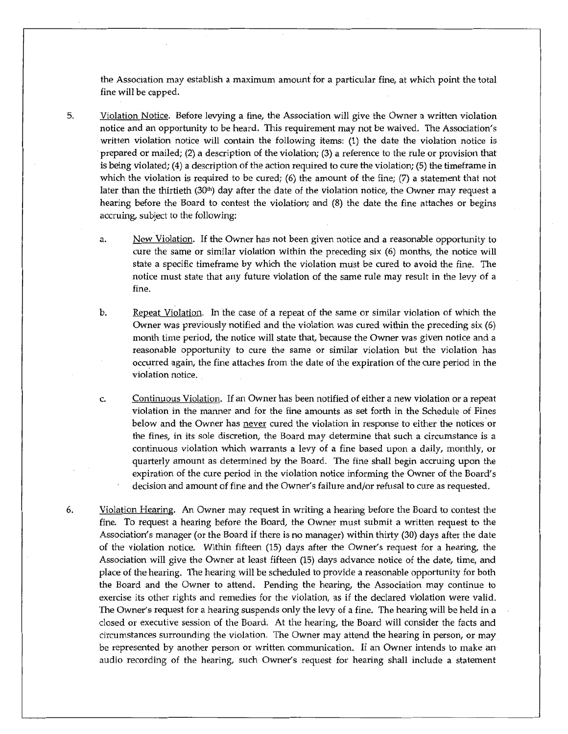the Association may establish a maximum amount for a particular fine, at which point the total fine will be capped.

- 5. Violation Notice. Before levying a fine, the Association will give the Owner a written violation notice and an opportunity to be heard. This requirement may not be waived. The Association's written violation notice will contain the following items: (1) the date the violation notice is prepared or mailed; (2) a description of the violation; (3) a reference to the rule or provision that is being violated; (4) a description of the action required to cure the violation; (5) the timeframe in which the violation is required to be cured; (6) the amount of the fine;  $(7)$  a statement that not later than the thirtieth  $(30<sup>th</sup>)$  day after the date of the violation notice, the Owner may request a hearing before the Board to contest the violation; and (8) the date the fine attaches or begins accruing, subject to the following:
	- a. New Violation. If the Owner has not been given notice and a reasonable opportunity to cure the same or similar violation within the preceding six (6) months, the notice will state a specific timeframe by which the violation must be cured to avoid the fine. The notice must state that any future violation of the same rule may result in the levy of a fine.
	- b. Repeat Violation. In the case of a repeat of the same or similar violation of which the Owner was previously notified and the violation was cured within the preceding six (6) month time period, the notice will state that, because the Owner was given notice and a reasonable opportunity to cure the same or similar violation but the violation has occurred again, the fine attaches from the date of the expiration of the cure period in the violation notice.
	- c. Continuous Violation. If an Owner has been notified of either a new violation or a repeat violation in the manner and for the fine amounts as set forth in the Schedule of Fines below and the Owner has never cured the violation in response to either the notices or the fines, in its sole discretion, the Board may determine that such a circumstance is a continuous violation which warrants a levy of a fine based upon a daily, monthly, or quarterly amount as determined by the Board. The fine shall begin accruing upon the expiration of the cure period in the violation notice informing the Owner of the Board's decision and amount of fine and the Owner's failure and/or refusal to cure as requested.
- 6. Violation Hearing. An Owner may request in writing a hearing before the Board to contest the fine. To request a hearing before the Board, the Owner must submit a written request to the Association's manager (or the Board if there is no manager) within thirty (30) days after the date of the violation notice. Within fifteen (15) days after the Owner's request for a hearing, the Association will give the Owner at least fifteen (15) days advance notice of the date, time, and place of the hearing. The hearing will be scheduled to provide a reasonable opportunity for both the Board and the Owner to attend. Pending the hearing, the Association may continue to exercise its other rights and remedies for the violation, as if the declared violation were valid. The Owner's request for a hearing suspends only the levy of a fine. The hearing will be held in a closed or executive session of the Board. At the hearing, the Board will consider the facts and circumstances surrounding the violation. The Owner may attend the hearing in person, or may be represented by another person or written communication. If an Owner intends to make an audio recording of the hearing, such Owner's request for hearing shall include a statement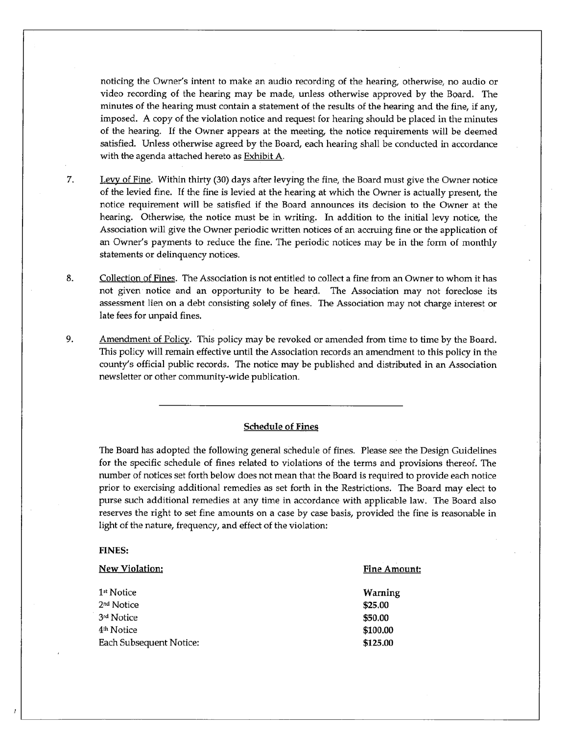noticing the Owner's intent to make an audio recording of the hearing, otherwise, no audio or video recording of the hearing may be made, unless otherwise approved by the Board. The minutes of the hearing must contain a statement of the results of the hearing and the fine, if any, imposed. A copy of the violation notice and request for hearing should be placed in the minutes of the hearing. If the Owner appears at the meeting, the notice requirements will be deemed satisfied. Unless otherwise agreed by the Board, each hearing shall be conducted in accordance with the agenda attached hereto as Exhibit A.

- 7. Levy of Fine. Within thirty (30) days after levying the fine, the Board must give the Owner notice of the levied fine. If the fine is levied at the hearing at which the Owner is actually present, the notice requirement will be satisfied if the Board announces its decision to the Owner at the hearing. Otherwise, the notice must be in writing. In addition to the initial levy notice, the Association will give the Owner periodic written notices of an accruing fine or the application of an Owner's payments to reduce the fine. The periodic notices may be in the form of monthly statements or delinquency notices.
- 8. Collection of Fines. The Association is not entitled to collect a fine from an Owner to whom it has not given notice and an opportunity to be heard. The Association may not foreclose its assessment lien on a debt consisting solely of fines. The Association may not charge interest or late fees for unpaid fines.
- 9. Amendment of Policy. This policy may be revoked or amended from time to time by the Board. This policy will remain effective until the Association records an amendment to this policy in the county's official public records. The notice may be published and distributed in an Association newsletter or other community-wide publication.

### **Schedule of Fines**

The Board has adopted the following general schedule of fines. Please see the Design Guidelines for the specific schedule of fines related to violations of the terms and provisions thereof. The number of notices set forth below does not mean that the Board is required to provide each notice prior to exercising additional remedies as set forth in the Restrictions. The Board may elect to purse such additional remedies at any time in accordance with applicable law. The Board also reserves the right to set fine amounts on a case by case basis, provided the fine is reasonable in light of the nature, frequency, and effect of the violation:

#### **FINES:**

| <b>New Violation:</b>   | Fine Amount: |
|-------------------------|--------------|
| 1 <sup>st</sup> Notice  | Warning      |
| 2 <sup>nd</sup> Notice  | \$25.00      |
| 3rd Notice              | \$50.00      |
| 4 <sup>th</sup> Notice  | \$100.00     |
| Each Subsequent Notice: | \$125.00     |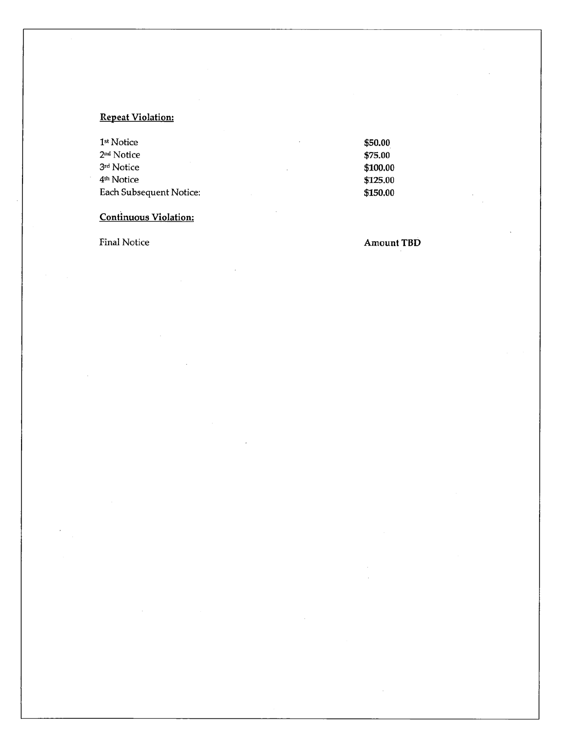# **Repeat Violation:**

| \$50.00  |
|----------|
| \$75.00  |
| \$100.00 |
| \$125.00 |
| \$150.00 |
|          |

# **Continuous Violation:**

Final Notice **Amount TBD**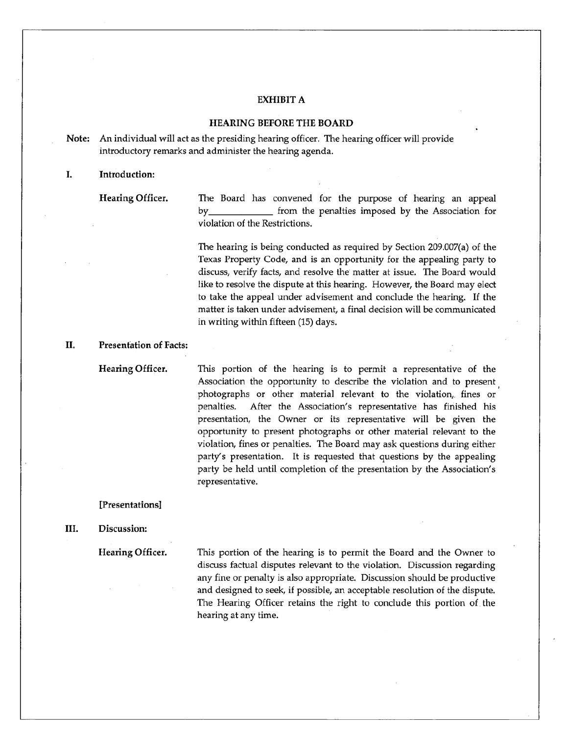# **EXHIBIT A**

# **HEARING BEFORE THE BOARD**

**Note:** An individual will act as the presiding hearing officer. The hearing officer will provide introductory remarks and administer the hearing agenda.

### I. **Introduction:**

**Hearing Officer. The Board** has convened for the purpose of hearing an appeal by **from** the penalties imposed by the Association for violation of the Restrictions.

> The hearing is being conducted as required by Section 209.007(a) of the Texas Property Code, and is an opportunity for the appealing party to discuss, verify facts, and resolve the matter at issue. The Board would like to resolve the dispute at this hearing. However, the Board may elect to take the appeal under advisement and conclude the hearing. If the matter is taken under advisement, a final decision will be communicated in writing within fifteen (15) days.

### II. **Presentation of Facts:**

**Hearing Officer.** 

This portion of the hearing is to permit a representative of the Association the opportunity to describe the violation and to present photographs or other material relevant to the violation, fines or penalties. After the Association's representative has finished his presentation, the Owner or its representative will be given the opportunity to present photographs or other material relevant to the violation, fines or penalties. The Board may ask questions during either party's presentation. It is requested that questions by the appealing party be held until completion of the presentation by the Association's representative.

# **[Presentations]**

#### **HI. Discussion:**

**Hearing Officer.** 

This portion of the hearing is to permit the Board and the Owner to discuss factual disputes relevant to the violation. Discussion regarding any fine or penalty is also appropriate. Discussion should be productive and designed to seek, if possible, an acceptable resolution of the dispute. The Hearing Officer retains the right to conclude this portion of the hearing at any time.